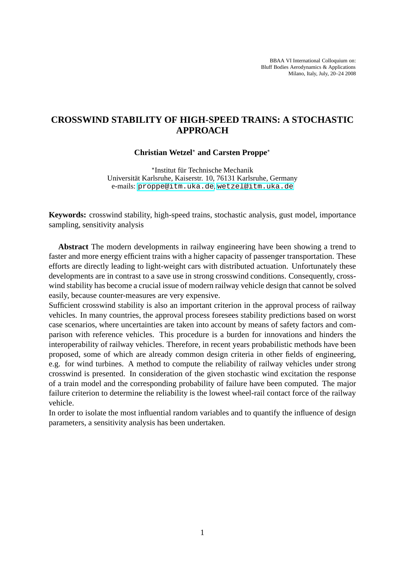BBAA VI International Colloquium on: Bluff Bodies Aerodynamics & Applications Milano, Italy, July, 20–24 2008

# **CROSSWIND STABILITY OF HIGH-SPEED TRAINS: A STOCHASTIC APPROACH**

**Christian Wetzel**<sup>⋆</sup> **and Carsten Proppe**<sup>⋆</sup>

\*Institut für Technische Mechanik Universität Karlsruhe, Kaiserstr. 10, 76131 Karlsruhe, Germany e-mails: <proppe@itm.uka.de>, <wetzel@itm.uka.de>

**Keywords:** crosswind stability, high-speed trains, stochastic analysis, gust model, importance sampling, sensitivity analysis

**Abstract** The modern developments in railway engineering have been showing a trend to faster and more energy efficient trains with a higher capacity of passenger transportation. These efforts are directly leading to light-weight cars with distributed actuation. Unfortunately these developments are in contrast to a save use in strong crosswind conditions. Consequently, crosswind stability has become a crucial issue of modern railway vehicle design that cannot be solved easily, because counter-measures are very expensive.

Sufficient crosswind stability is also an important criterion in the approval process of railway vehicles. In many countries, the approval process foresees stability predictions based on worst case scenarios, where uncertainties are taken into account by means of safety factors and comparison with reference vehicles. This procedure is a burden for innovations and hinders the interoperability of railway vehicles. Therefore, in recent years probabilistic methods have been proposed, some of which are already common design criteria in other fields of engineering, e.g. for wind turbines. A method to compute the reliability of railway vehicles under strong crosswind is presented. In consideration of the given stochastic wind excitation the response of a train model and the corresponding probability of failure have been computed. The major failure criterion to determine the reliability is the lowest wheel-rail contact force of the railway vehicle.

In order to isolate the most influential random variables and to quantify the influence of design parameters, a sensitivity analysis has been undertaken.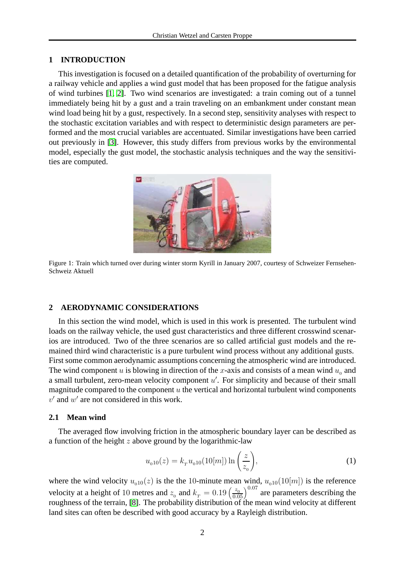#### **1 INTRODUCTION**

This investigation is focused on a detailed quantification of the probability of overturning for a railway vehicle and applies a wind gust model that has been proposed for the fatigue analysis of wind turbines [\[1,](#page-14-0) [2\]](#page-14-1). Two wind scenarios are investigated: a train coming out of a tunnel immediately being hit by a gust and a train traveling on an embankment under constant mean wind load being hit by a gust, respectively. In a second step, sensitivity analyses with respect to the stochastic excitation variables and with respect to deterministic design parameters are performed and the most crucial variables are accentuated. Similar investigations have been carried out previously in [\[3\]](#page-15-0). However, this study differs from previous works by the environmental model, especially the gust model, the stochastic analysis techniques and the way the sensitivities are computed.



Figure 1: Train which turned over during winter storm Kyrill in January 2007, courtesy of Schweizer Fernsehen-Schweiz Aktuell

## **2 AERODYNAMIC CONSIDERATIONS**

In this section the wind model, which is used in this work is presented. The turbulent wind loads on the railway vehicle, the used gust characteristics and three different crosswind scenarios are introduced. Two of the three scenarios are so called artificial gust models and the remained third wind characteristic is a pure turbulent wind process without any additional gusts. First some common aerodynamic assumptions concerning the atmospheric wind are introduced. The wind component u is blowing in direction of the x-axis and consists of a mean wind  $u_0$  and a small turbulent, zero-mean velocity component  $u'$ . For simplicity and because of their small magnitude compared to the component  $u$  the vertical and horizontal turbulent wind components  $v'$  and  $w'$  are not considered in this work.

### **2.1 Mean wind**

The averaged flow involving friction in the atmospheric boundary layer can be described as a function of the height  $z$  above ground by the logarithmic-law

$$
u_{010}(z) = k_{T} u_{010}(10[m]) \ln\left(\frac{z}{z_{0}}\right),
$$
 (1)

where the wind velocity  $u_{010}(z)$  is the the 10-minute mean wind,  $u_{010}(10[m])$  is the reference velocity at a height of 10 metres and  $z_0$  and  $k_T = 0.19 \left(\frac{z_0}{0.05}\right)^{0.07}$  are parameters describing the roughness of the terrain, [\[8\]](#page-15-1). The probability distribution of the mean wind velocity at different land sites can often be described with good accuracy by a Rayleigh distribution.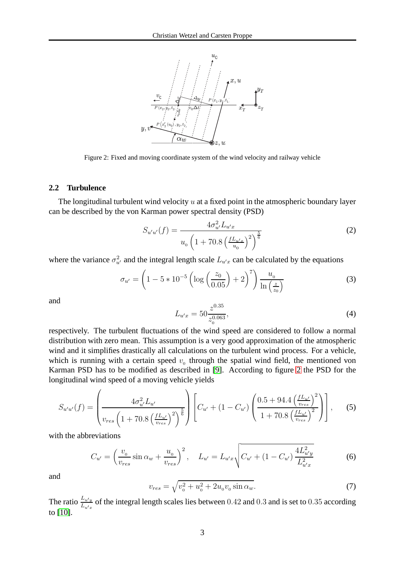

<span id="page-2-0"></span>Figure 2: Fixed and moving coordinate system of the wind velocity and railway vehicle

#### **2.2 Turbulence**

The longitudinal turbulent wind velocity  $u$  at a fixed point in the atmospheric boundary layer can be described by the von Karman power spectral density (PSD)

$$
S_{u'u'}(f) = \frac{4\sigma_{u'}^2 L_{u'x}}{u_0 \left(1 + 70.8 \left(\frac{f L_{u'x}}{u_0}\right)^2\right)^{\frac{5}{6}}}
$$
(2)

where the variance  $\sigma_{u'}^2$  and the integral length scale  $L_{u'x}$  can be calculated by the equations

$$
\sigma_{u'} = \left(1 - 5 * 10^{-5} \left(\log\left(\frac{z_0}{0.05}\right) + 2\right)^7\right) \frac{u_0}{\ln\left(\frac{z}{z_0}\right)}\tag{3}
$$

and

$$
L_{u'x} = 50 \frac{z^{0.35}}{z_0^{0.063}},\tag{4}
$$

respectively. The turbulent fluctuations of the wind speed are considered to follow a normal distribution with zero mean. This assumption is a very good approximation of the atmospheric wind and it simplifies drastically all calculations on the turbulent wind process. For a vehicle, which is running with a certain speed  $v_0$  through the spatial wind field, the mentioned von Karman PSD has to be modified as described in [\[9\]](#page-15-2). According to figure [2](#page-2-0) the PSD for the longitudinal wind speed of a moving vehicle yields

$$
S_{u'u'}(f) = \left(\frac{4\sigma_{u'}^2 L_{u'}}{v_{res} \left(1 + 70.8 \left(\frac{f L_{u'}}{v_{res}}\right)^2\right)^{\frac{5}{6}}} \right) \left[C_{u'} + (1 - C_{u'}) \left(\frac{0.5 + 94.4 \left(\frac{f L_{u'}}{v_{res}}\right)^2}{1 + 70.8 \left(\frac{f L_{u'}}{v_{res}}\right)^2}\right)\right],
$$
 (5)

with the abbreviations

$$
C_{u'} = \left(\frac{v_0}{v_{res}}\sin\alpha_w + \frac{u_0}{v_{res}}\right)^2, \quad L_{u'} = L_{u'x}\sqrt{C_{u'} + (1 - C_{u'})\frac{4L_{u'y}^2}{L_{u'x}^2}}\tag{6}
$$

and

$$
v_{res} = \sqrt{v_0^2 + u_0^2 + 2u_0v_0 \sin \alpha_w}.
$$
 (7)

The ratio  $\frac{L_{u'y}}{L_{u'x}}$  of the integral length scales lies between 0.42 and 0.3 and is set to 0.35 according to [\[10\]](#page-15-3).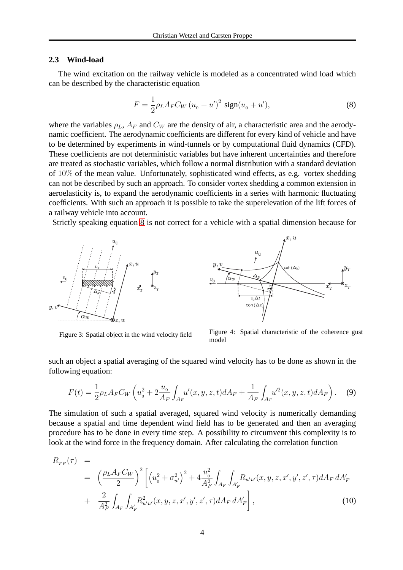#### **2.3 Wind-load**

The wind excitation on the railway vehicle is modeled as a concentrated wind load which can be described by the characteristic equation

<span id="page-3-0"></span>
$$
F = \frac{1}{2} \rho_L A_F C_W (u_0 + u')^2 \text{ sign}(u_0 + u'), \tag{8}
$$

where the variables  $\rho_L$ ,  $A_F$  and  $C_W$  are the density of air, a characteristic area and the aerodynamic coefficient. The aerodynamic coefficients are different for every kind of vehicle and have to be determined by experiments in wind-tunnels or by computational fluid dynamics (CFD). These coefficients are not deterministic variables but have inherent uncertainties and therefore are treated as stochastic variables, which follow a normal distribution with a standard deviation of 10% of the mean value. Unfortunately, sophisticated wind effects, as e.g. vortex shedding can not be described by such an approach. To consider vortex shedding a common extension in aeroelasticity is, to expand the aerodynamic coefficients in a series with harmonic fluctuating coefficients. With such an approach it is possible to take the superelevation of the lift forces of a railway vehicle into account.

Strictly speaking equation [8](#page-3-0) is not correct for a vehicle with a spatial dimension because for



<span id="page-3-2"></span> $x, u$  $u_{0}$  $\boldsymbol{\eta}$ oh  $(\Delta y)$  $\overline{v_0\Delta}$  $\coh(\Delta)$ 

<span id="page-3-1"></span>

Figure 3: Spatial object in the wind velocity field Figure 4: Spatial characteristic of the coherence gust model

such an object a spatial averaging of the squared wind velocity has to be done as shown in the following equation:

$$
F(t) = \frac{1}{2} \rho_L A_F C_W \left( u_0^2 + 2 \frac{u_0}{A_F} \int_{A_F} u'(x, y, z, t) dA_F + \frac{1}{A_F} \int_{A_F} u'^2(x, y, z, t) dA_F \right). \tag{9}
$$

The simulation of such a spatial averaged, squared wind velocity is numerically demanding because a spatial and time dependent wind field has to be generated and then an averaging procedure has to be done in every time step. A possibility to circumvent this complexity is to look at the wind force in the frequency domain. After calculating the correlation function

$$
R_{FF}(\tau) =
$$
  
\n
$$
= \left(\frac{\rho_L A_F C_W}{2}\right)^2 \left[ \left(u_0^2 + \sigma_{u'}^2\right)^2 + 4 \frac{u_0^2}{A_F^2} \int_{A_F} \int_{A'_F} R_{u'u'}(x, y, z, x', y', z', \tau) dA_F dA'_F \right]
$$
  
\n
$$
+ \frac{2}{A_F^2} \int_{A_F} \int_{A'_F} R_{u'u'}^2(x, y, z, x', y', z', \tau) dA_F dA'_F \right],
$$
\n(10)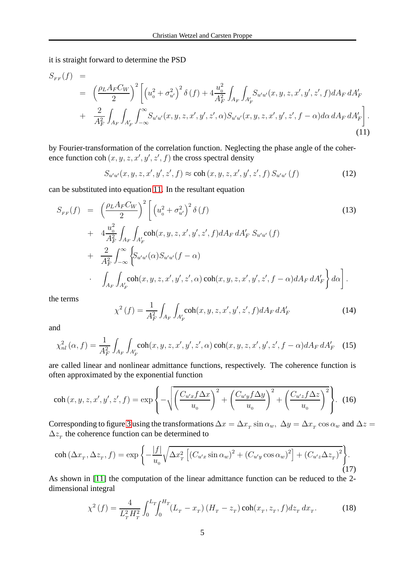it is straight forward to determine the PSD

<span id="page-4-0"></span>
$$
S_{FF}(f) = \left(\frac{\rho_L A_F C_W}{2}\right)^2 \left[ \left(u_0^2 + \sigma_{u'}^2\right)^2 \delta\left(f\right) + 4 \frac{u_0^2}{A_F^2} \int_{A_F} \int_{A'_F} S_{u'u'}(x, y, z, x', y', z', f) dA_F dA'_F + \frac{2}{A_F^2} \int_{A_F} \int_{A'_F} \int_{-\infty}^{\infty} S_{u'u'}(x, y, z, x', y', z', \alpha) S_{u'u'}(x, y, z, x', y', z', f - \alpha) d\alpha dA_F dA'_F \right].
$$
\n(11)

by Fourier-transformation of the correlation function. Neglecting the phase angle of the coherence function coh  $(x, y, z, x', y', z', f)$  the cross spectral density

$$
S_{u'u'}(x, y, z, x', y', z', f) \approx \text{coh}(x, y, z, x', y', z', f) S_{u'u'}(f)
$$
 (12)

can be substituted into equation [11.](#page-4-0) In the resultant equation

$$
S_{FF}(f) = \left(\frac{\rho_L A_F C_W}{2}\right)^2 \left[ \left(u_0^2 + \sigma_{u'}^2\right)^2 \delta\left(f\right) \right]
$$
  
+ 
$$
4 \frac{u_0^2}{A_F^2} \int_{A_F} \int_{A_F'} \coh(x, y, z, x', y', z', f) dA_F dA_F' S_{u'u'}(f)
$$
  
+ 
$$
\frac{2}{A_F^2} \int_{-\infty}^{\infty} \left\{ S_{u'u'}(\alpha) S_{u'u'}(f - \alpha) \right\}
$$
  

$$
\cdot \int_{A_F} \int_{A_F'} \coh(x, y, z, x', y', z', \alpha) \coh(x, y, z, x', y', z', f - \alpha) dA_F dA_F' \right\} d\alpha \right].
$$
  
(13)

the terms

$$
\chi^2\left(f\right) = \frac{1}{A_F^2} \int_{A_F} \int_{A_F'} \text{coh}(x, y, z, x', y', z', f) dA_F dA_F' \tag{14}
$$

and

$$
\chi_{nl}^{2}(\alpha, f) = \frac{1}{A_{F}^{2}} \int_{A_{F}} \int_{A_{F}'} \text{coh}(x, y, z, x', y', z', \alpha) \, \text{coh}(x, y, z, x', y', z', f - \alpha) dA_{F} \, dA_{F}' \quad (15)
$$

are called linear and nonlinear admittance functions, respectively. The coherence function is often approximated by the exponential function

$$
\operatorname{coh}(x, y, z, x', y', z', f) = \exp\left\{-\sqrt{\left(\frac{C_{u'x}f\Delta x}{u_0}\right)^2 + \left(\frac{C_{u'y}f\Delta y}{u_0}\right)^2 + \left(\frac{C_{u'z}f\Delta z}{u_0}\right)^2\right\}}.\tag{16}
$$

Corresponding to figure [3](#page-3-1) using the transformations  $\Delta x=\Delta x_{T}\sin\alpha_{w},~\Delta y=\Delta x_{T}\cos\alpha_{w}$  and  $\Delta z=$  $\Delta z$ <sub>T</sub> the coherence function can be determined to

$$
\operatorname{coh}(\Delta x_{\scriptscriptstyle T}, \Delta z_{\scriptscriptstyle T}, f) = \exp\left\{-\frac{|f|}{u_{\scriptscriptstyle 0}}\sqrt{\Delta x_{\scriptscriptstyle T}^2 \left[ \left(C_{u'x}\sin\alpha_w\right)^2 + \left(C_{u'y}\cos\alpha_w\right)^2 \right] + \left(C_{u'z}\Delta z_{\scriptscriptstyle T}\right)^2 \right\}}.\tag{17}
$$

As shown in [\[11\]](#page-15-4) the computation of the linear admittance function can be reduced to the 2 dimensional integral

$$
\chi^2\left(f\right) = \frac{4}{L_T^2 H_T^2} \int_0^{L_T} \int_0^{H_T} (L_T - x_T) \left(H_T - z_T\right) \coh(x_T, z_T, f) dz_T \, dx_T. \tag{18}
$$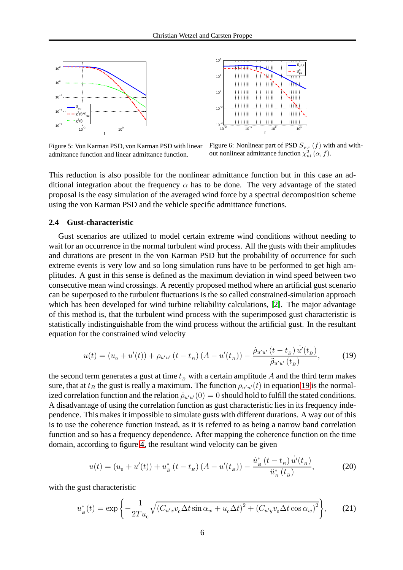



Figure 5: Von Karman PSD, von Karman PSD with linear admittance function and linear admittance function.

Figure 6: Nonlinear part of PSD  $S_{FF}$  (f) with and without nonlinear admittance function  $\chi^2_{nl}(\alpha, f)$ .

This reduction is also possible for the nonlinear admittance function but in this case an additional integration about the frequency  $\alpha$  has to be done. The very advantage of the stated proposal is the easy simulation of the averaged wind force by a spectral decomposition scheme using the von Karman PSD and the vehicle specific admittance functions.

### **2.4 Gust-characteristic**

Gust scenarios are utilized to model certain extreme wind conditions without needing to wait for an occurrence in the normal turbulent wind process. All the gusts with their amplitudes and durations are present in the von Karman PSD but the probability of occurrence for such extreme events is very low and so long simulation runs have to be performed to get high amplitudes. A gust in this sense is defined as the maximum deviation in wind speed between two consecutive mean wind crossings. A recently proposed method where an artificial gust scenario can be superposed to the turbulent fluctuations is the so called constrained-simulation approach which has been developed for wind turbine reliability calculations, [\[2\]](#page-14-1). The major advantage of this method is, that the turbulent wind process with the superimposed gust characteristic is statistically indistinguishable from the wind process without the artificial gust. In the resultant equation for the constrained wind velocity

<span id="page-5-0"></span>
$$
u(t) = (u_0 + u'(t)) + \rho_{u'u'}(t - t_B)(A - u'(t_B)) - \frac{\dot{\rho}_{u'u'}(t - t_B) \dot{u}'(t_B)}{\ddot{\rho}_{u'u'}(t_B)},
$$
(19)

the second term generates a gust at time  $t_B$  with a certain amplitude A and the third term makes sure, that at  $t_B$  the gust is really a maximum. The function  $\rho_{u'u'}(t)$  in equation [19](#page-5-0) is the normalized correlation function and the relation  $\dot{\rho}_{u'u'}(0) = 0$  should hold to fulfill the stated conditions. A disadvantage of using the correlation function as gust characteristic lies in its frequency independence. This makes it impossible to simulate gusts with different durations. A way out of this is to use the coherence function instead, as it is referred to as being a narrow band correlation function and so has a frequency dependence. After mapping the coherence function on the time domain, according to figure [4,](#page-3-2) the resultant wind velocity can be given

$$
u(t) = (u_0 + u'(t)) + u_B^* (t - t_B) (A - u'(t_B)) - \frac{\dot{u}_B^* (t - t_B) \dot{u}'(t_B)}{\ddot{u}_B^* (t_B)},
$$
(20)

with the gust characteristic

$$
u_{B}^{*}(t) = \exp\left\{-\frac{1}{2Tu_{0}}\sqrt{\left(C_{u'x}v_{0}\Delta t \sin \alpha_{w} + u_{0}\Delta t\right)^{2} + \left(C_{u'y}v_{0}\Delta t \cos \alpha_{w}\right)^{2}}\right\},\tag{21}
$$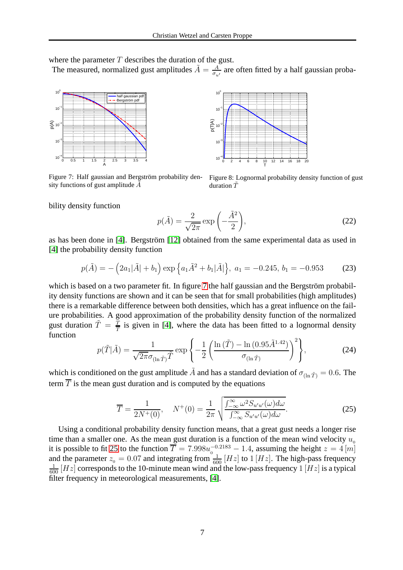where the parameter  $T$  describes the duration of the gust.

The measured, normalized gust amplitudes  $\tilde{A} = \frac{A}{\sigma}$  $\frac{A}{\sigma_{u'}}$  are often fitted by a half gaussian proba-



<span id="page-6-0"></span>Figure 7: Half gaussian and Bergström probability density functions of gust amplitude  $\ddot{A}$ 



Figure 8: Lognormal probability density function of gust duration  $\tilde{T}$ 

bility density function

$$
p(\tilde{A}) = \frac{2}{\sqrt{2\pi}} \exp\left(-\frac{\tilde{A}^2}{2}\right),\tag{22}
$$

as has been done in [\[4\]](#page-15-5). Bergström [\[12\]](#page-15-6) obtained from the same experimental data as used in [\[4\]](#page-15-5) the probability density function

$$
p(\tilde{A}) = -\left(2a_1|\tilde{A}| + b_1\right) \exp\left\{a_1\tilde{A}^2 + b_1|\tilde{A}|\right\}, \ a_1 = -0.245, \ b_1 = -0.953 \tag{23}
$$

which is based on a two parameter fit. In figure [7](#page-6-0) the half gaussian and the Bergström probability density functions are shown and it can be seen that for small probabilities (high amplitudes) there is a remarkable difference between both densities, which has a great influence on the failure probabilities. A good approximation of the probability density function of the normalized gust duration  $\tilde{T} = \frac{\overline{T}}{T}$  $\frac{T}{T}$  is given in [\[4\]](#page-15-5), where the data has been fitted to a lognormal density function

$$
p(\tilde{T}|\tilde{A}) = \frac{1}{\sqrt{2\pi}\sigma_{(\ln\tilde{T})}\tilde{T}} \exp\left\{-\frac{1}{2}\left(\frac{\ln(\tilde{T}) - \ln(0.95\tilde{A}^{1.42})}{\sigma_{(\ln\tilde{T})}}\right)^2\right\},\tag{24}
$$

which is conditioned on the gust amplitude  $\tilde{A}$  and has a standard deviation of  $\sigma_{\text{(ln}\tilde{T})} = 0.6$ . The term  $\overline{T}$  is the mean gust duration and is computed by the equations

<span id="page-6-1"></span>
$$
\overline{T} = \frac{1}{2N^+(0)}, \quad N^+(0) = \frac{1}{2\pi} \sqrt{\frac{\int_{-\infty}^{\infty} \omega^2 S_{u'u'}(\omega) d\omega}{\int_{-\infty}^{\infty} S_{u'u'}(\omega) d\omega}}.
$$
 (25)

Using a conditional probability density function means, that a great gust needs a longer rise time than a smaller one. As the mean gust duration is a function of the mean wind velocity  $u_0$ it is possible to fit [25](#page-6-1) to the function  $\overline{T} = 7.998u_0^{-0.2183} - 1.4$ , assuming the height  $z = 4 [m]$ and the parameter  $z_0 = 0.07$  and integrating from  $\frac{1}{600}$  [Hz] to 1 [Hz]. The high-pass frequency  $\frac{1}{600}$  [Hz] corresponds to the 10-minute mean wind and the low-pass frequency 1 [Hz] is a typical filter frequency in meteorological measurements, [\[4\]](#page-15-5).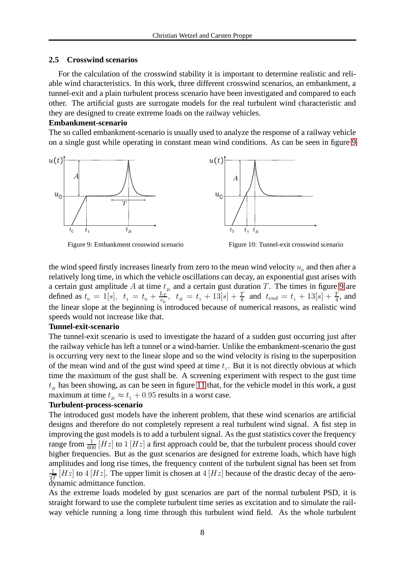## **2.5 Crosswind scenarios**

For the calculation of the crosswind stability it is important to determine realistic and reliable wind characteristics. In this work, three different crosswind scenarios, an embankment, a tunnel-exit and a plain turbulent process scenario have been investigated and compared to each other. The artificial gusts are surrogate models for the real turbulent wind characteristic and they are designed to create extreme loads on the railway vehicles.

## **Embankment-scenario**

The so called embankment-scenario is usually used to analyze the response of a railway vehicle on a single gust while operating in constant mean wind conditions. As can be seen in figure [9](#page-7-0)



<span id="page-7-0"></span>Figure 9: Embankment crosswind scenario Figure 10: Tunnel-exit crosswind scenario

the wind speed firstly increases linearly from zero to the mean wind velocity  $u_0$  and then after a relatively long time, in which the vehicle oscillations can decay, an exponential gust arises with a certain gust amplitude A at time  $t_B$  and a certain gust duration T. The times in figure [9](#page-7-0) are defined as  $t_0 = 1[s], t_1 = t_0 + \frac{L_T}{v_0}$  $\frac{L_T}{v_0}$ ,  $t_B = t_1 + 13[s] + \frac{T}{8}$  and  $t_{end} = t_1 + 13[s] + \frac{T}{4}$ , and the linear slope at the beginning is introduced because of numerical reasons, as realistic wind speeds would not increase like that.

## **Tunnel-exit-scenario**

The tunnel-exit scenario is used to investigate the hazard of a sudden gust occurring just after the railway vehicle has left a tunnel or a wind-barrier. Unlike the embankment-scenario the gust is occurring very next to the linear slope and so the wind velocity is rising to the superposition of the mean wind and of the gust wind speed at time  $t<sub>1</sub>$ . But it is not directly obvious at which time the maximum of the gust shall be. A screening experiment with respect to the gust time  $t_B$  has been showing, as can be seen in figure [11](#page-8-0) that, for the vehicle model in this work, a gust maximum at time  $t_B \approx t_1 + 0.95$  results in a worst case.

## **Turbulent-process-scenario**

The introduced gust models have the inherent problem, that these wind scenarios are artificial designs and therefore do not completely represent a real turbulent wind signal. A fist step in improving the gust models is to add a turbulent signal. As the gust statistics cover the frequency range from  $\frac{1}{600} \left[ {Hz} \right]$  to  $1 \left[ {Hz} \right]$  a first approach could be, that the turbulent process should cover higher frequencies. But as the gust scenarios are designed for extreme loads, which have high amplitudes and long rise times, the frequency content of the turbulent signal has been set from 1  $\frac{1}{2T}[Hz]$  to 4 [Hz]. The upper limit is chosen at 4 [Hz] because of the drastic decay of the aerodynamic admittance function.

As the extreme loads modeled by gust scenarios are part of the normal turbulent PSD, it is straight forward to use the complete turbulent time series as excitation and to simulate the railway vehicle running a long time through this turbulent wind field. As the whole turbulent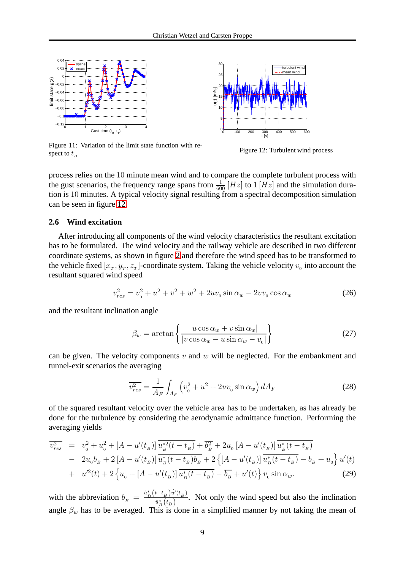



<span id="page-8-0"></span>Figure 11: Variation of the limit state function with respect to  $t_B$ 

<span id="page-8-1"></span>Figure 12: Turbulent wind process

process relies on the 10 minute mean wind and to compare the complete turbulent process with the gust scenarios, the frequency range spans from  $\frac{1}{600}$  [Hz] to 1 [Hz] and the simulation duration is 10 minutes. A typical velocity signal resulting from a spectral decomposition simulation can be seen in figure [12.](#page-8-1)

#### **2.6 Wind excitation**

After introducing all components of the wind velocity characteristics the resultant excitation has to be formulated. The wind velocity and the railway vehicle are described in two different coordinate systems, as shown in figure [2](#page-2-0) and therefore the wind speed has to be transformed to the vehicle fixed  $[x_T, y_T, z_T]$ -coordinate system. Taking the vehicle velocity  $v_0$  into account the resultant squared wind speed

$$
v_{res}^2 = v_0^2 + u^2 + v^2 + w^2 + 2uv_0 \sin \alpha_w - 2vv_0 \cos \alpha_w \tag{26}
$$

and the resultant inclination angle

<span id="page-8-2"></span>
$$
\beta_w = \arctan\left\{\frac{|u\cos\alpha_w + v\sin\alpha_w|}{|v\cos\alpha_w - u\sin\alpha_w - v_0|}\right\}
$$
\n(27)

can be given. The velocity components  $v$  and  $w$  will be neglected. For the embankment and tunnel-exit scenarios the averaging

$$
\overline{v_{res}^2} = \frac{1}{A_F} \int_{A_F} \left( v_0^2 + u^2 + 2uv_0 \sin \alpha_w \right) dA_F \tag{28}
$$

of the squared resultant velocity over the vehicle area has to be undertaken, as has already be done for the turbulence by considering the aerodynamic admittance function. Performing the averaging yields

$$
\overline{v_{res}^2} = v_0^2 + u_0^2 + [A - u'(t_B)] \overline{u_B^{*2}(t - t_B)} + \overline{b_B^2} + 2u_0 [A - u'(t_B)] \overline{u_B^{*}(t - t_B)} \n- 2u_0 b_B + 2 [A - u'(t_B)] \overline{u_B^{*}(t - t_B) b_B} + 2 \{[A - u'(t_B)] \overline{u_B^{*}(t - t_B)} - \overline{b_B} + u_0 \} u'(t) \n+ u'^2(t) + 2 \{u_0 + [A - u'(t_B)] \overline{u_B^{*}(t - t_B)} - \overline{b_B} + u'(t) \} v_0 \sin \alpha_w.
$$
\n(29)

with the abbreviation  $b_B = \frac{\dot{u}_B^*}{E}$  $\frac{k}{B}\left(t-t_B\right)u'(t_B)$  $\frac{u - u_B u}{\partial t} \frac{(u_B)}{(t_B)}$ . Not only the wind speed but also the inclination angle  $\beta_w$  has to be averaged. This is done in a simplified manner by not taking the mean of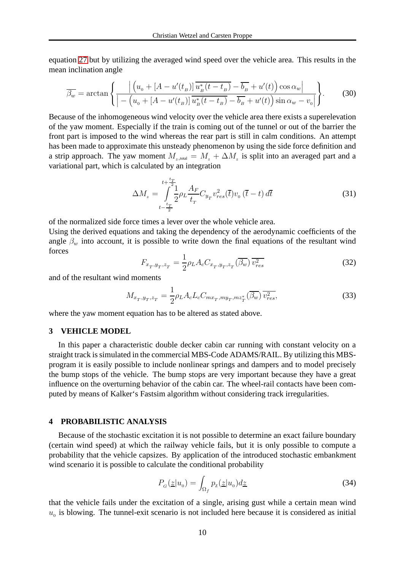equation [27](#page-8-2) but by utilizing the averaged wind speed over the vehicle area. This results in the mean inclination angle

$$
\overline{\beta_w} = \arctan\left\{ \frac{\left| \left( u_o + \left[ A - u'(t_B) \right] \overline{u_B^*(t - t_B)} - \overline{b_B} + u'(t) \right] \cos \alpha_w \right|}{\left| - \left( u_o + \left[ A - u'(t_B) \right] \overline{u_B^*(t - t_B)} - \overline{b_B} + u'(t) \right) \sin \alpha_w - v_0 \right|} \right\}.
$$
(30)

Because of the inhomogeneous wind velocity over the vehicle area there exists a superelevation of the yaw moment. Especially if the train is coming out of the tunnel or out of the barrier the front part is imposed to the wind whereas the rear part is still in calm conditions. An attempt has been made to approximate this unsteady phenomenon by using the side force definition and a strip approach. The yaw moment  $M_{z, \text{total}} = M_z + \Delta M_z$  is split into an averaged part and a variational part, which is calculated by an integration

$$
\Delta M_z = \int_{t-\frac{t_T}{2}}^{t+\frac{t_T}{2}} \frac{1}{2} \rho_L \frac{A_F}{t_T} C_{y_T} v_{res}^2(\bar{t}) v_0 (\bar{t}-t) d\bar{t}
$$
(31)

of the normalized side force times a lever over the whole vehicle area.

Using the derived equations and taking the dependency of the aerodynamic coefficients of the angle  $\beta_w$  into account, it is possible to write down the final equations of the resultant wind forces

$$
F_{x_T, y_T, z_T} = \frac{1}{2} \rho_L A_c C_{x_T, y_T, z_T} (\overline{\beta_w}) \overline{v_{res}^2}
$$
 (32)

and of the resultant wind moments

$$
M_{x_T, y_T, z_T} = \frac{1}{2} \rho_L A_c L_c C_{m x_T, m y_T, m z_T^*} (\overline{\beta_w}) \overline{v_{res}^2},
$$
(33)

where the yaw moment equation has to be altered as stated above.

### **3 VEHICLE MODEL**

In this paper a characteristic double decker cabin car running with constant velocity on a straight track is simulated in the commercial MBS-Code ADAMS/RAIL. By utilizing this MBSprogram it is easily possible to include nonlinear springs and dampers and to model precisely the bump stops of the vehicle. The bump stops are very important because they have a great influence on the overturning behavior of the cabin car. The wheel-rail contacts have been computed by means of Kalker's Fastsim algorithm without considering track irregularities.

### **4 PROBABILISTIC ANALYSIS**

Because of the stochastic excitation it is not possible to determine an exact failure boundary (certain wind speed) at which the railway vehicle fails, but it is only possible to compute a probability that the vehicle capsizes. By application of the introduced stochastic embankment wind scenario it is possible to calculate the conditional probability

<span id="page-9-0"></span>
$$
P_G(\underline{z}|u_0) = \int_{\Omega_f} p_{\underline{z}}(\underline{z}|u_0) d\underline{z} \tag{34}
$$

that the vehicle fails under the excitation of a single, arising gust while a certain mean wind  $u<sub>0</sub>$  is blowing. The tunnel-exit scenario is not included here because it is considered as initial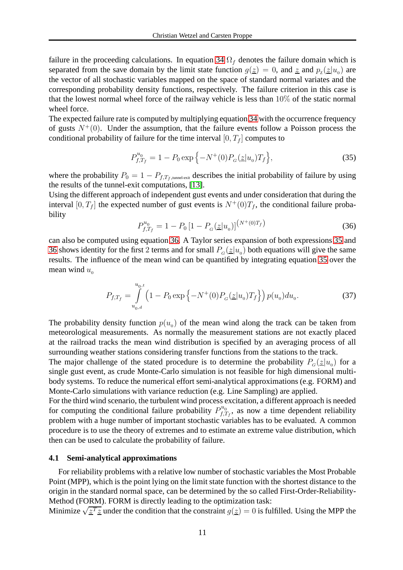failure in the proceeding calculations. In equation [34](#page-9-0)  $\Omega_f$  denotes the failure domain which is separated from the save domain by the limit state function  $g(\underline{z}) = 0$ , and  $\underline{z}$  and  $p_{\underline{z}}(\underline{z}|u_0)$  are the vector of all stochastic variables mapped on the space of standard normal variates and the corresponding probability density functions, respectively. The failure criterion in this case is that the lowest normal wheel force of the railway vehicle is less than 10% of the static normal wheel force.

The expected failure rate is computed by multiplying equation [34](#page-9-0) with the occurrence frequency of gusts  $N^+(0)$ . Under the assumption, that the failure events follow a Poisson process the conditional probability of failure for the time interval  $[0, T_f]$  computes to

<span id="page-10-1"></span>
$$
P_{f,T_f}^{u_0} = 1 - P_0 \exp\{-N^+(0)P_G(\underline{z}|u_0)T_f\},\tag{35}
$$

where the probability  $P_0 = 1 - P_{f,T_f,\text{tunnel-exit}}$  describes the initial probability of failure by using the results of the tunnel-exit computations, [\[13\]](#page-15-7).

Using the different approach of independent gust events and under consideration that during the interval [0,  $T_f$ ] the expected number of gust events is  $N^+(0)T_f$ , the conditional failure probability

<span id="page-10-0"></span>
$$
P_{f,T_f}^{u_0} = 1 - P_0 \left[ 1 - P_G(\underline{z}|u_0) \right]^{(N^+(0)T_f)} \tag{36}
$$

can also be computed using equation [36.](#page-10-0) A Taylor series expansion of both expressions [35](#page-10-1) and [36](#page-10-0) shows identity for the first 2 terms and for small  $P_G(\underline{z}|u_0)$  both equations will give the same results. The influence of the mean wind can be quantified by integrating equation [35](#page-10-1) over the mean wind  $u_0$ 

$$
P_{f,T_f} = \int_{u_0,d}^{u_0,t} \left(1 - P_0 \exp\left\{-N^+(0)P_G(\underline{z}|u_0)T_f\right\}\right) p(u_0) du_0.
$$
 (37)

The probability density function  $p(u_0)$  of the mean wind along the track can be taken from meteorological measurements. As normally the measurement stations are not exactly placed at the railroad tracks the mean wind distribution is specified by an averaging process of all surrounding weather stations considering transfer functions from the stations to the track.

The major challenge of the stated procedure is to determine the probability  $P_G(\underline{z}|u_0)$  for a single gust event, as crude Monte-Carlo simulation is not feasible for high dimensional multibody systems. To reduce the numerical effort semi-analytical approximations (e.g. FORM) and Monte-Carlo simulations with variance reduction (e.g. Line Sampling) are applied.

For the third wind scenario, the turbulent wind process excitation, a different approach is needed for computing the conditional failure probability  $P_{f, q}^{u_0}$  $f_{t,T_f}^{u_0}$ , as now a time dependent reliability problem with a huge number of important stochastic variables has to be evaluated. A common procedure is to use the theory of extremes and to estimate an extreme value distribution, which then can be used to calculate the probability of failure.

#### **4.1 Semi-analytical approximations**

For reliability problems with a relative low number of stochastic variables the Most Probable Point (MPP), which is the point lying on the limit state function with the shortest distance to the origin in the standard normal space, can be determined by the so called First-Order-Reliability-Method (FORM). FORM is directly leading to the optimization task:

Minimize  $\sqrt{\underline{z}^T \underline{z}}$  under the condition that the constraint  $g(\underline{z}) = 0$  is fulfilled. Using the MPP the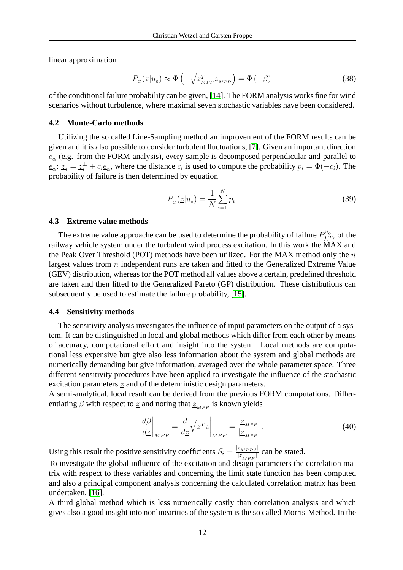linear approximation

$$
P_G(\underline{z}|u_0) \approx \Phi\left(-\sqrt{\underline{z}_{MPP}^T \underline{z}_{MPP}}\right) = \Phi\left(-\beta\right)
$$
\n(38)

of the conditional failure probability can be given, [\[14\]](#page-15-8). The FORM analysis works fine for wind scenarios without turbulence, where maximal seven stochastic variables have been considered.

#### **4.2 Monte-Carlo methods**

Utilizing the so called Line-Sampling method an improvement of the FORM results can be given and it is also possible to consider turbulent fluctuations, [\[7\]](#page-15-9). Given an important direction  $e_{\alpha}$  (e.g. from the FORM analysis), every sample is decomposed perpendicular and parallel to  $e_{\alpha}$ :  $z_i = z_i^{\perp} + c_i e_{\alpha}$ , where the distance  $c_i$  is used to compute the probability  $p_i = \Phi(-c_i)$ . The probability of failure is then determined by equation

$$
P_G(\underline{z}|u_0) = \frac{1}{N} \sum_{i=1}^{N} p_i.
$$
\n(39)

#### **4.3 Extreme value methods**

The extreme value approache can be used to determine the probability of failure  $P_{f,1}^{u_0}$  $\int_{f,T_f}^{u_0}$  of the railway vehicle system under the turbulent wind process excitation. In this work the MAX and the Peak Over Threshold (POT) methods have been utilized. For the MAX method only the  $n$ largest values from *n* independent runs are taken and fitted to the Generalized Extreme Value (GEV) distribution, whereas for the POT method all values above a certain, predefined threshold are taken and then fitted to the Generalized Pareto (GP) distribution. These distributions can subsequently be used to estimate the failure probability, [\[15\]](#page-15-10).

#### **4.4 Sensitivity methods**

The sensitivity analysis investigates the influence of input parameters on the output of a system. It can be distinguished in local and global methods which differ from each other by means of accuracy, computational effort and insight into the system. Local methods are computational less expensive but give also less information about the system and global methods are numerically demanding but give information, averaged over the whole parameter space. Three different sensitivity procedures have been applied to investigate the influence of the stochastic excitation parameters z and of the deterministic design parameters.

A semi-analytical, local result can be derived from the previous FORM computations. Differentiating  $\beta$  with respect to z and noting that  $z_{MPP}$  is known yields

$$
\left. \frac{d\beta}{dz} \right|_{MPP} = \left. \frac{d}{dz} \sqrt{\underline{z}^T \underline{z}} \right|_{MPP} = \frac{\underline{z}_{MPP}}{|\underline{z}_{MPP}|}.
$$
\n(40)

Using this result the positive sensitivity coefficients  $S_i = \frac{|z_{MPP,i}|}{|z|}$  $\frac{z_{MPP},i}{|z_{MPP}|}$  can be stated.

To investigate the global influence of the excitation and design parameters the correlation matrix with respect to these variables and concerning the limit state function has been computed and also a principal component analysis concerning the calculated correlation matrix has been undertaken, [\[16\]](#page-15-11).

A third global method which is less numerically costly than correlation analysis and which gives also a good insight into nonlinearities of the system is the so called Morris-Method. In the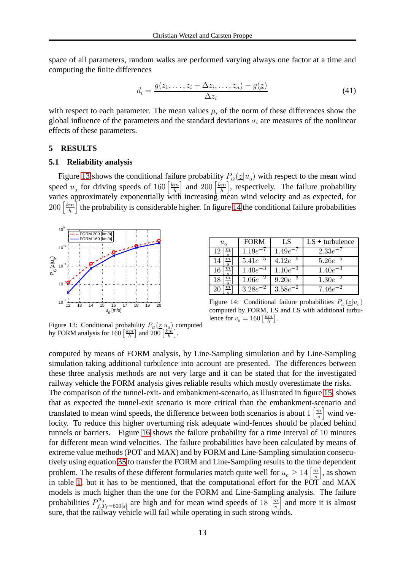space of all parameters, random walks are performed varying always one factor at a time and computing the finite differences

$$
d_i = \frac{g(z_1, \dots, z_i + \Delta z_i, \dots, z_n) - g(\underline{z})}{\Delta z_i} \tag{41}
$$

with respect to each parameter. The mean values  $\mu_i$  of the norm of these differences show the global influence of the parameters and the standard deviations  $\sigma_i$  are measures of the nonlinear effects of these parameters.

#### **5 RESULTS**

#### **5.1 Reliability analysis**

Figure [13](#page-12-0) shows the conditional failure probability  $P_G(\underline{z}|u_0)$  with respect to the mean wind speed  $u_0$  for driving speeds of 160  $\left[\frac{km}{h}\right]$  $\left[\frac{km}{h}\right]$  and  $200\left[\frac{km}{h}\right]$  $\left[\frac{dm}{h}\right]$ , respectively. The failure probability varies approximately exponentially with increasing mean wind velocity and as expected, for  $200\left[\frac{km}{h}\right]$  $\left[\frac{dm}{h}\right]$  the probability is considerable higher. In figure [14](#page-12-1) the conditional failure probabilities



| $u_{0}$ | <b>FORM</b> | LS          | $LS +$ turbulence |
|---------|-------------|-------------|-------------------|
|         | 1.19e       | 1.49e       | 2.33e             |
|         | 5.41e       | 4.12e       | $5.26e^{-}$       |
|         | 1.40e       | $1.10e^{-}$ | $1.40e^{-3}$      |
|         | 1.06e       | 9.20e       | 1.30e             |
|         | 3.28        | 3.58        | 7.46e             |

<span id="page-12-1"></span>Figure 14: Conditional failure probabilities  $P_G(\underline{z}|u_0)$ computed by FORM, LS and LS with additional turbulence for  $v_0 = 160 \left[ \frac{km}{h} \right]$ .

<span id="page-12-0"></span>Figure 13: Conditional probability  $P_G(\underline{z}|u_0)$  computed by FORM analysis for  $160 \left[ \frac{km}{h} \right]$  and  $200 \left[ \frac{km}{h} \right]$ .

computed by means of FORM analysis, by Line-Sampling simulation and by Line-Sampling simulation taking additional turbulence into account are presented. The differences between these three analysis methods are not very large and it can be stated that for the investigated railway vehicle the FORM analysis gives reliable results which mostly overestimate the risks. The comparison of the tunnel-exit- and embankment-scenario, as illustrated in figure [15,](#page-13-0) shows that as expected the tunnel-exit scenario is more critical than the embankment-scenario and translated to mean wind speeds, the difference between both scenarios is about  $1\left\lceil \frac{m}{s} \right\rceil$  $\left[\frac{m}{s}\right]$  wind velocity. To reduce this higher overturning risk adequate wind-fences should be placed behind tunnels or barriers. Figure [16](#page-13-1) shows the failure probability for a time interval of 10 minutes for different mean wind velocities. The failure probabilities have been calculated by means of extreme value methods (POT and MAX) and by FORM and Line-Sampling simulation consecutively using equation [35](#page-10-1) to transfer the FORM and Line-Sampling results to the time dependent problem. The results of these different formularies match quite well for  $u_0 \geq 14 \left[ \frac{m}{s} \right]$  $\left[\frac{m}{s}\right]$ , as shown in table [1,](#page-13-2) but it has to be mentioned, that the computational effort for the POT and MAX models is much higher than the one for the FORM and Line-Sampling analysis. The failure probabilities  $P_{f,7}^{u_0}$  $f_{f,T_f=600[s]}^{u_0}$  are high and for mean wind speeds of 18  $\left[\frac{m}{s}\right]$  $\left[\frac{m}{s}\right]$  and more it is almost sure, that the railway vehicle will fail while operating in such strong winds.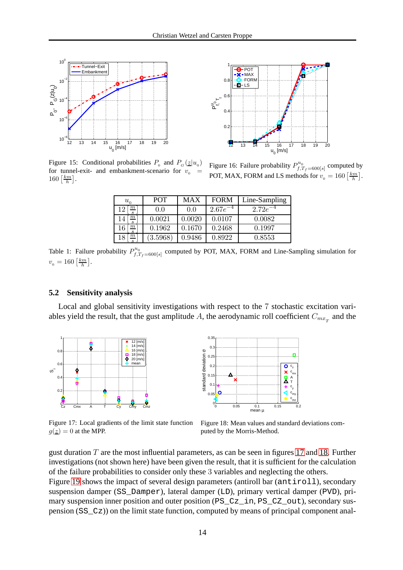

1 **POT**  $-MAX$ Æ  $\Omega$ **FORM** LS  $\Omega$ p"ς<br>]<br>]<br>]  $\Omega$  $0.2$ 0 12 13 14 15 16 17 18 19 20 u<sub>o</sub> [m/s]

<span id="page-13-0"></span>Figure 15: Conditional probabilities  $P_0$  and  $P_G(\underline{z}|u_0)$ for tunnel-exit- and embankment-scenario for  $v_0$  $160 \left[\frac{km}{h}\right]$ .

<span id="page-13-1"></span>Figure 16: Failure probability  $P_{f,q}^{u_0}$  $f^{u_0}_{f,T_f=600[s]}$  computed by POT, MAX, FORM and LS methods for  $v_0 = 160 \left[ \frac{km}{h} \right]$ .

| $u_{0}$                       | <b>POT</b> | <b>MAX</b> | <b>FORM</b>  | Line-Sampling |
|-------------------------------|------------|------------|--------------|---------------|
| $_{m}$<br>٠,<br>$\mathcal{S}$ | 0.0        | 0.0        | $2.67e^{-4}$ | $2.72e^{-4}$  |
| $\,m$<br>$\overline{4}$       | 0.0021     | 0.0020     | 0.0107       | 0.0082        |
| $\mathbf{m}$<br>-6<br>s       | 0.1962     | 0.1670     | 0.2468       | 0.1997        |
| $m^{\cdot}$<br>l8             | (3.5968)   | 0.9486     | 0.8922       | 0.8553        |

<span id="page-13-2"></span>Table 1: Failure probability  $P_{f,q}^{u_0}$  $f_{f,T_f=600[s]}^{u_0}$  computed by POT, MAX, FORM and Line-Sampling simulation for  $v_{\rm o} = 160 \left[\frac{km}{h}\right].$ 

### **5.2 Sensitivity analysis**

Local and global sensitivity investigations with respect to the 7 stochastic excitation variables yield the result, that the gust amplitude A, the aerodynamic roll coefficient  $C_{mx}$  and the



<span id="page-13-3"></span>Figure 17: Local gradients of the limit state function  $g(\underline{z}) = 0$  at the MPP.



<span id="page-13-4"></span>Figure 18: Mean values and standard deviations computed by the Morris-Method.

gust duration  $T$  are the most influential parameters, as can be seen in figures [17](#page-13-3) and [18.](#page-13-4) Further investigations (not shown here) have been given the result, that it is sufficient for the calculation of the failure probabilities to consider only these 3 variables and neglecting the others.

Figure [19](#page-14-2) shows the impact of several design parameters (antiroll bar (antiroll), secondary suspension damper (SS\_Damper), lateral damper (LD), primary vertical damper (PVD), primary suspension inner position and outer position (PS\_Cz\_in, PS\_CZ\_out), secondary suspension (SS\_Cz)) on the limit state function, computed by means of principal component anal-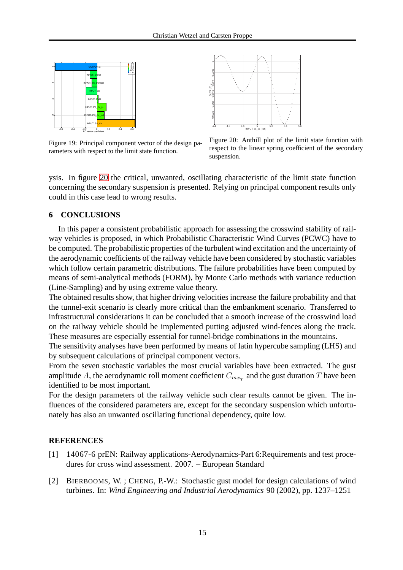

<span id="page-14-2"></span>Figure 19: Principal component vector of the design parameters with respect to the limit state function.



<span id="page-14-3"></span>Figure 20: Anthill plot of the limit state function with respect to the linear spring coefficient of the secondary suspension.

ysis. In figure [20](#page-14-3) the critical, unwanted, oscillating characteristic of the limit state function concerning the secondary suspension is presented. Relying on principal component results only could in this case lead to wrong results.

### **6 CONCLUSIONS**

In this paper a consistent probabilistic approach for assessing the crosswind stability of railway vehicles is proposed, in which Probabilistic Characteristic Wind Curves (PCWC) have to be computed. The probabilistic properties of the turbulent wind excitation and the uncertainty of the aerodynamic coefficients of the railway vehicle have been considered by stochastic variables which follow certain parametric distributions. The failure probabilities have been computed by means of semi-analytical methods (FORM), by Monte Carlo methods with variance reduction (Line-Sampling) and by using extreme value theory.

The obtained results show, that higher driving velocities increase the failure probability and that the tunnel-exit scenario is clearly more critical than the embankment scenario. Transferred to infrastructural considerations it can be concluded that a smooth increase of the crosswind load on the railway vehicle should be implemented putting adjusted wind-fences along the track. These measures are especially essential for tunnel-bridge combinations in the mountains.

The sensitivity analyses have been performed by means of latin hypercube sampling (LHS) and by subsequent calculations of principal component vectors.

From the seven stochastic variables the most crucial variables have been extracted. The gust amplitude  $A$ , the aerodynamic roll moment coefficient  $C_{mx_{_T}}$  and the gust duration  $T$  have been identified to be most important.

For the design parameters of the railway vehicle such clear results cannot be given. The influences of the considered parameters are, except for the secondary suspension which unfortunately has also an unwanted oscillating functional dependency, quite low.

### **REFERENCES**

- <span id="page-14-0"></span>[1] 14067-6 prEN: Railway applications-Aerodynamics-Part 6:Requirements and test procedures for cross wind assessment. 2007. – European Standard
- <span id="page-14-1"></span>[2] BIERBOOMS, W. ; CHENG, P.-W.: Stochastic gust model for design calculations of wind turbines. In: *Wind Engineering and Industrial Aerodynamics* 90 (2002), pp. 1237–1251